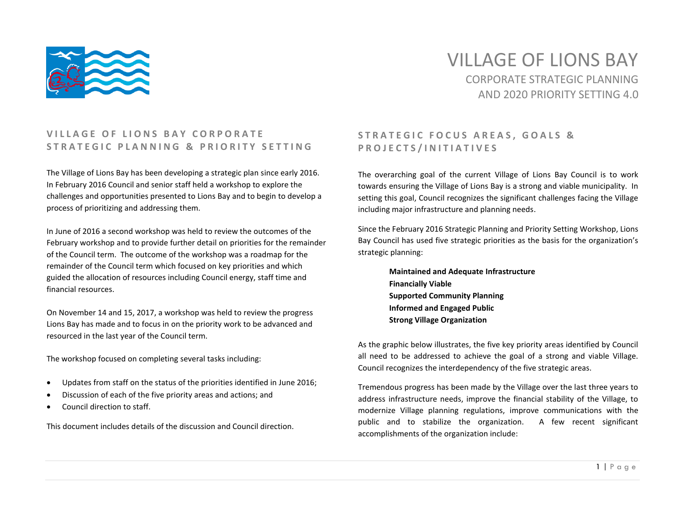

# VILLAGE OF LIONS BAY CORPORATE STRATEGIC PLANNING AND 2020 PRIORITY SETTING 4.0

#### **VILLAGE OF LIONS BAY CORPORATE S T R A T E G I C P L A N N I N G & P R I O R I T Y S E T T I N G**

The Village of Lions Bay has been developing a strategic plan since early 2016. In February 2016 Council and senior staff held a workshop to explore the challenges and opportunities presented to Lions Bay and to begin to develop a process of prioritizing and addressing them.

In June of 2016 a second workshop was held to review the outcomes of the February workshop and to provide further detail on priorities for the remainder of the Council term. The outcome of the workshop was a roadmap for the remainder of the Council term which focused on key priorities and which guided the allocation of resources including Council energy, staff time and financial resources.

On November 14 and 15, 2017, a workshop was held to review the progress Lions Bay has made and to focus in on the priority work to be advanced and resourced in the last year of the Council term.

The workshop focused on completing several tasks including:

- Updates from staff on the status of the priorities identified in June 2016;
- Discussion of each of the five priority areas and actions; and
- Council direction to staff.

This document includes details of the discussion and Council direction.

#### STRATEGIC FOCUS AREAS, GOALS & **P R O J E C T S / I N I T I A T I V E S**

The overarching goal of the current Village of Lions Bay Council is to work towards ensuring the Village of Lions Bay is a strong and viable municipality. In setting this goal, Council recognizes the significant challenges facing the Village including major infrastructure and planning needs.

Since the February 2016 Strategic Planning and Priority Setting Workshop, Lions Bay Council has used five strategic priorities as the basis for the organization's strategic planning:

> **Maintained and Adequate Infrastructure Financially Viable Supported Community Planning Informed and Engaged Public Strong Village Organization**

As the graphic below illustrates, the five key priority areas identified by Council all need to be addressed to achieve the goal of a strong and viable Village. Council recognizes the interdependency of the five strategic areas.

Tremendous progress has been made by the Village over the last three years to address infrastructure needs, improve the financial stability of the Village, to modernize Village planning regulations, improve communications with the public and to stabilize the organization. A few recent significant accomplishments of the organization include: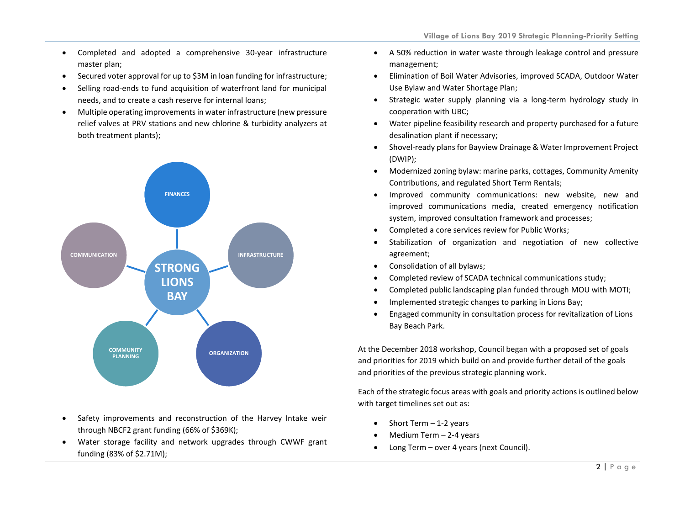- Completed and adopted a comprehensive 30-year infrastructure master plan;
- Secured voter approval for up to \$3M in loan funding for infrastructure;
- Selling road-ends to fund acquisition of waterfront land for municipal needs, and to create a cash reserve for internal loans;
- Multiple operating improvements in water infrastructure (new pressure relief valves at PRV stations and new chlorine & turbidity analyzers at both treatment plants);



- Safety improvements and reconstruction of the Harvey Intake weir through NBCF2 grant funding (66% of \$369K);
- Water storage facility and network upgrades through CWWF grant funding (83% of \$2.71M);
- A 50% reduction in water waste through leakage control and pressure management;
- Elimination of Boil Water Advisories, improved SCADA, Outdoor Water Use Bylaw and Water Shortage Plan;
- Strategic water supply planning via a long-term hydrology study in cooperation with UBC;
- Water pipeline feasibility research and property purchased for a future desalination plant if necessary;
- Shovel-ready plans for Bayview Drainage & Water Improvement Project (DWIP);
- Modernized zoning bylaw: marine parks, cottages, Community Amenity Contributions, and regulated Short Term Rentals;
- Improved community communications: new website, new and improved communications media, created emergency notification system, improved consultation framework and processes;
- Completed a core services review for Public Works;
- Stabilization of organization and negotiation of new collective agreement;
- Consolidation of all bylaws;
- Completed review of SCADA technical communications study;
- Completed public landscaping plan funded through MOU with MOTI;
- Implemented strategic changes to parking in Lions Bay;
- Engaged community in consultation process for revitalization of Lions Bay Beach Park.

At the December 2018 workshop, Council began with a proposed set of goals and priorities for 2019 which build on and provide further detail of the goals and priorities of the previous strategic planning work.

Each of the strategic focus areas with goals and priority actions is outlined below with target timelines set out as:

- Short Term  $-1-2$  years
- Medium Term 2-4 years
- Long Term over 4 years (next Council).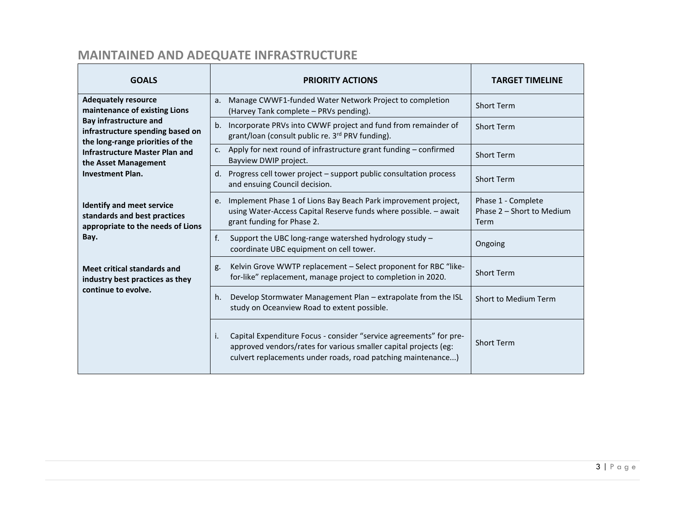# **MAINTAINED AND ADEQUATE INFRASTRUCTURE**

| <b>GOALS</b>                                                                                                                                                                                                                                                     | <b>PRIORITY ACTIONS</b>                                                                                                                                                                                      | <b>TARGET TIMELINE</b>                                  |
|------------------------------------------------------------------------------------------------------------------------------------------------------------------------------------------------------------------------------------------------------------------|--------------------------------------------------------------------------------------------------------------------------------------------------------------------------------------------------------------|---------------------------------------------------------|
| <b>Adequately resource</b><br>maintenance of existing Lions<br><b>Bay infrastructure and</b><br>infrastructure spending based on<br>the long-range priorities of the<br><b>Infrastructure Master Plan and</b><br>the Asset Management<br><b>Investment Plan.</b> | Manage CWWF1-funded Water Network Project to completion<br>a.<br>(Harvey Tank complete - PRVs pending).                                                                                                      | <b>Short Term</b>                                       |
|                                                                                                                                                                                                                                                                  | b. Incorporate PRVs into CWWF project and fund from remainder of<br>grant/loan (consult public re. 3rd PRV funding).                                                                                         | <b>Short Term</b>                                       |
|                                                                                                                                                                                                                                                                  | c. Apply for next round of infrastructure grant funding $-$ confirmed<br>Bayview DWIP project.                                                                                                               | <b>Short Term</b>                                       |
|                                                                                                                                                                                                                                                                  | d. Progress cell tower project – support public consultation process<br>and ensuing Council decision.                                                                                                        | <b>Short Term</b>                                       |
| <b>Identify and meet service</b><br>standards and best practices<br>appropriate to the needs of Lions<br>Bay.                                                                                                                                                    | Implement Phase 1 of Lions Bay Beach Park improvement project,<br>e.<br>using Water-Access Capital Reserve funds where possible. - await<br>grant funding for Phase 2.                                       | Phase 1 - Complete<br>Phase 2 - Short to Medium<br>Term |
|                                                                                                                                                                                                                                                                  | f.<br>Support the UBC long-range watershed hydrology study -<br>coordinate UBC equipment on cell tower.                                                                                                      | Ongoing                                                 |
| <b>Meet critical standards and</b><br>industry best practices as they<br>continue to evolve.                                                                                                                                                                     | Kelvin Grove WWTP replacement - Select proponent for RBC "like-<br>g.<br>for-like" replacement, manage project to completion in 2020.                                                                        | <b>Short Term</b>                                       |
|                                                                                                                                                                                                                                                                  | Develop Stormwater Management Plan – extrapolate from the ISL<br>h.<br>study on Oceanview Road to extent possible.                                                                                           | Short to Medium Term                                    |
|                                                                                                                                                                                                                                                                  | Capital Expenditure Focus - consider "service agreements" for pre-<br>i.<br>approved vendors/rates for various smaller capital projects (eg:<br>culvert replacements under roads, road patching maintenance) | <b>Short Term</b>                                       |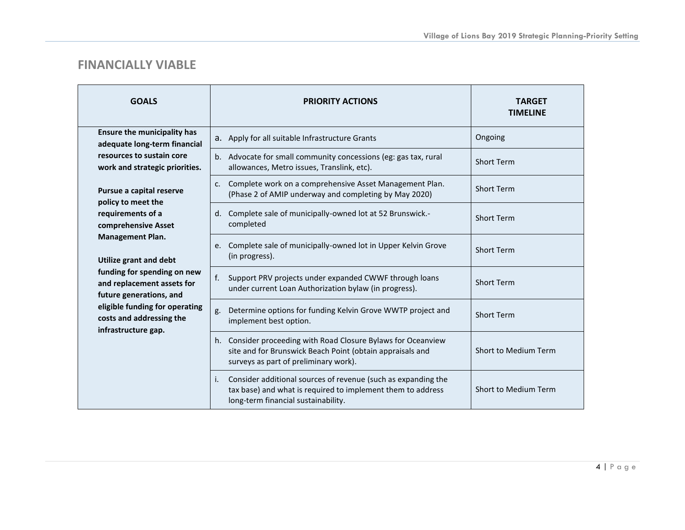#### **FINANCIALLY VIABLE**

| <b>GOALS</b>                                                                                                                                                                                                                                                                                                                                                                                                                                                             | <b>PRIORITY ACTIONS</b>                                                                                                                                                   | <b>TARGET</b><br><b>TIMELINE</b> |
|--------------------------------------------------------------------------------------------------------------------------------------------------------------------------------------------------------------------------------------------------------------------------------------------------------------------------------------------------------------------------------------------------------------------------------------------------------------------------|---------------------------------------------------------------------------------------------------------------------------------------------------------------------------|----------------------------------|
| <b>Ensure the municipality has</b><br>adequate long-term financial<br>resources to sustain core<br>work and strategic priorities.<br>Pursue a capital reserve<br>policy to meet the<br>requirements of a<br>comprehensive Asset<br><b>Management Plan.</b><br><b>Utilize grant and debt</b><br>funding for spending on new<br>and replacement assets for<br>future generations, and<br>eligible funding for operating<br>costs and addressing the<br>infrastructure gap. | a. Apply for all suitable Infrastructure Grants                                                                                                                           | Ongoing                          |
|                                                                                                                                                                                                                                                                                                                                                                                                                                                                          | b. Advocate for small community concessions (eg: gas tax, rural<br>allowances, Metro issues, Translink, etc).                                                             | <b>Short Term</b>                |
|                                                                                                                                                                                                                                                                                                                                                                                                                                                                          | Complete work on a comprehensive Asset Management Plan.<br>c.<br>(Phase 2 of AMIP underway and completing by May 2020)                                                    | <b>Short Term</b>                |
|                                                                                                                                                                                                                                                                                                                                                                                                                                                                          | d. Complete sale of municipally-owned lot at 52 Brunswick.-<br>completed                                                                                                  | <b>Short Term</b>                |
|                                                                                                                                                                                                                                                                                                                                                                                                                                                                          | Complete sale of municipally-owned lot in Upper Kelvin Grove<br>e.<br>(in progress).                                                                                      | <b>Short Term</b>                |
|                                                                                                                                                                                                                                                                                                                                                                                                                                                                          | f.<br>Support PRV projects under expanded CWWF through loans<br>under current Loan Authorization bylaw (in progress).                                                     | <b>Short Term</b>                |
|                                                                                                                                                                                                                                                                                                                                                                                                                                                                          | Determine options for funding Kelvin Grove WWTP project and<br>g.<br>implement best option.                                                                               | <b>Short Term</b>                |
|                                                                                                                                                                                                                                                                                                                                                                                                                                                                          | Consider proceeding with Road Closure Bylaws for Oceanview<br>h.<br>site and for Brunswick Beach Point (obtain appraisals and<br>surveys as part of preliminary work).    | Short to Medium Term             |
|                                                                                                                                                                                                                                                                                                                                                                                                                                                                          | Consider additional sources of revenue (such as expanding the<br>i.<br>tax base) and what is required to implement them to address<br>long-term financial sustainability. | Short to Medium Term             |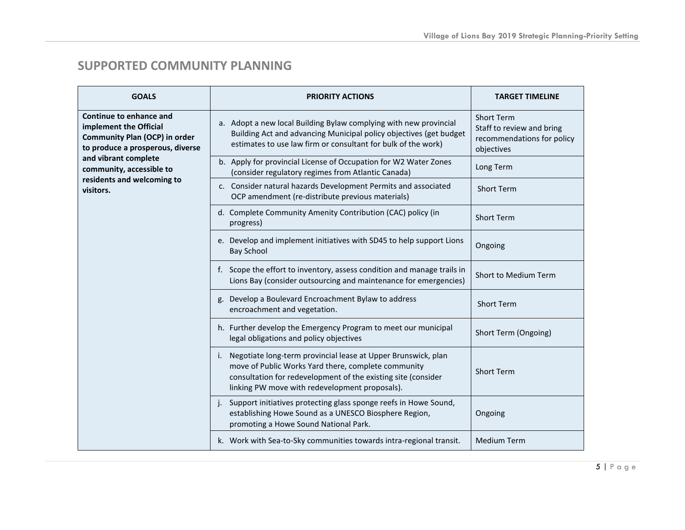## **SUPPORTED COMMUNITY PLANNING**

| <b>GOALS</b>                                                                                                                                                                                                                 | <b>PRIORITY ACTIONS</b>                                                                                                                                                                                                                       | <b>TARGET TIMELINE</b>                                                                     |
|------------------------------------------------------------------------------------------------------------------------------------------------------------------------------------------------------------------------------|-----------------------------------------------------------------------------------------------------------------------------------------------------------------------------------------------------------------------------------------------|--------------------------------------------------------------------------------------------|
| Continue to enhance and<br>implement the Official<br><b>Community Plan (OCP) in order</b><br>to produce a prosperous, diverse<br>and vibrant complete<br>community, accessible to<br>residents and welcoming to<br>visitors. | a. Adopt a new local Building Bylaw complying with new provincial<br>Building Act and advancing Municipal policy objectives (get budget<br>estimates to use law firm or consultant for bulk of the work)                                      | <b>Short Term</b><br>Staff to review and bring<br>recommendations for policy<br>objectives |
|                                                                                                                                                                                                                              | b. Apply for provincial License of Occupation for W2 Water Zones<br>(consider regulatory regimes from Atlantic Canada)                                                                                                                        | Long Term                                                                                  |
|                                                                                                                                                                                                                              | c. Consider natural hazards Development Permits and associated<br>OCP amendment (re-distribute previous materials)                                                                                                                            | <b>Short Term</b>                                                                          |
|                                                                                                                                                                                                                              | d. Complete Community Amenity Contribution (CAC) policy (in<br>progress)                                                                                                                                                                      | Short Term                                                                                 |
|                                                                                                                                                                                                                              | e. Develop and implement initiatives with SD45 to help support Lions<br><b>Bay School</b>                                                                                                                                                     | Ongoing                                                                                    |
|                                                                                                                                                                                                                              | f. Scope the effort to inventory, assess condition and manage trails in<br>Lions Bay (consider outsourcing and maintenance for emergencies)                                                                                                   | Short to Medium Term                                                                       |
|                                                                                                                                                                                                                              | g. Develop a Boulevard Encroachment Bylaw to address<br>encroachment and vegetation.                                                                                                                                                          | <b>Short Term</b>                                                                          |
|                                                                                                                                                                                                                              | h. Further develop the Emergency Program to meet our municipal<br>legal obligations and policy objectives                                                                                                                                     | Short Term (Ongoing)                                                                       |
|                                                                                                                                                                                                                              | Negotiate long-term provincial lease at Upper Brunswick, plan<br>i.<br>move of Public Works Yard there, complete community<br>consultation for redevelopment of the existing site (consider<br>linking PW move with redevelopment proposals). | <b>Short Term</b>                                                                          |
|                                                                                                                                                                                                                              | Support initiatives protecting glass sponge reefs in Howe Sound,<br>establishing Howe Sound as a UNESCO Biosphere Region,<br>promoting a Howe Sound National Park.                                                                            | Ongoing                                                                                    |
|                                                                                                                                                                                                                              | k. Work with Sea-to-Sky communities towards intra-regional transit.                                                                                                                                                                           | <b>Medium Term</b>                                                                         |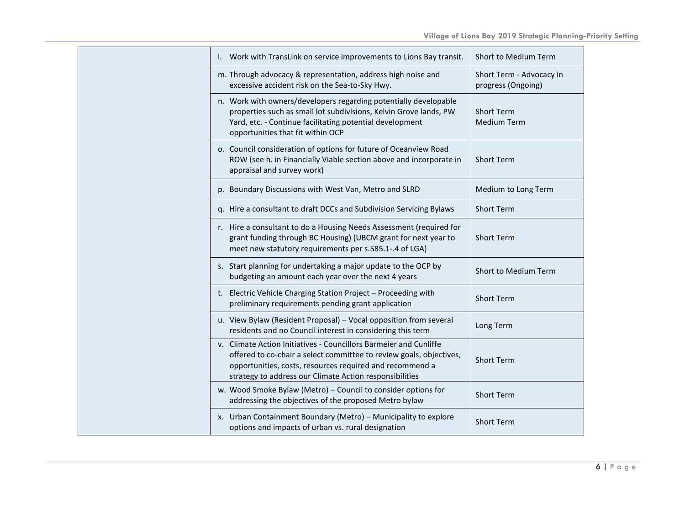| I. Work with TransLink on service improvements to Lions Bay transit.                                                                                                                                                                                            | Short to Medium Term                           |
|-----------------------------------------------------------------------------------------------------------------------------------------------------------------------------------------------------------------------------------------------------------------|------------------------------------------------|
| m. Through advocacy & representation, address high noise and<br>excessive accident risk on the Sea-to-Sky Hwy.                                                                                                                                                  | Short Term - Advocacy in<br>progress (Ongoing) |
| n. Work with owners/developers regarding potentially developable<br>properties such as small lot subdivisions, Kelvin Grove lands, PW<br>Yard, etc. - Continue facilitating potential development<br>opportunities that fit within OCP                          | <b>Short Term</b><br><b>Medium Term</b>        |
| o. Council consideration of options for future of Oceanview Road<br>ROW (see h. in Financially Viable section above and incorporate in<br>appraisal and survey work)                                                                                            | <b>Short Term</b>                              |
| p. Boundary Discussions with West Van, Metro and SLRD                                                                                                                                                                                                           | Medium to Long Term                            |
| q. Hire a consultant to draft DCCs and Subdivision Servicing Bylaws                                                                                                                                                                                             | <b>Short Term</b>                              |
| r. Hire a consultant to do a Housing Needs Assessment (required for<br>grant funding through BC Housing) (UBCM grant for next year to<br>meet new statutory requirements per s.585.1-.4 of LGA)                                                                 | Short Term                                     |
| s. Start planning for undertaking a major update to the OCP by<br>budgeting an amount each year over the next 4 years                                                                                                                                           | Short to Medium Term                           |
| t. Electric Vehicle Charging Station Project - Proceeding with<br>preliminary requirements pending grant application                                                                                                                                            | Short Term                                     |
| u. View Bylaw (Resident Proposal) - Vocal opposition from several<br>residents and no Council interest in considering this term                                                                                                                                 | Long Term                                      |
| v. Climate Action Initiatives - Councillors Barmeier and Cunliffe<br>offered to co-chair a select committee to review goals, objectives,<br>opportunities, costs, resources required and recommend a<br>strategy to address our Climate Action responsibilities | Short Term                                     |
| w. Wood Smoke Bylaw (Metro) - Council to consider options for<br>addressing the objectives of the proposed Metro bylaw                                                                                                                                          | <b>Short Term</b>                              |
| x. Urban Containment Boundary (Metro) - Municipality to explore<br>options and impacts of urban vs. rural designation                                                                                                                                           | <b>Short Term</b>                              |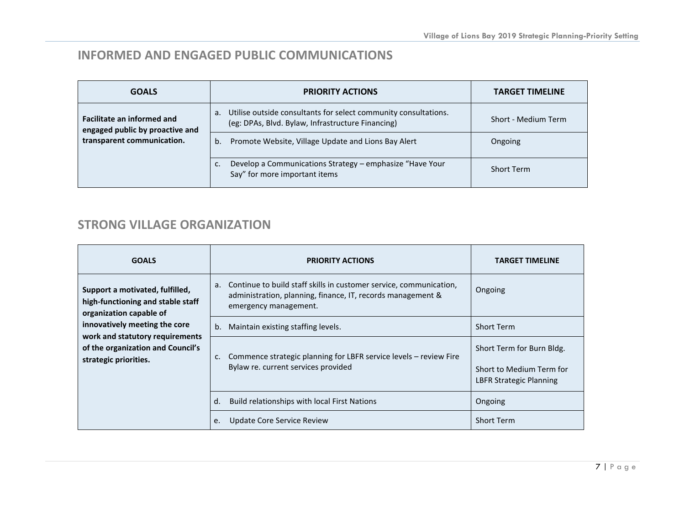## **INFORMED AND ENGAGED PUBLIC COMMUNICATIONS**

| <b>GOALS</b>                                                                                       | <b>PRIORITY ACTIONS</b>                                                                                                    | <b>TARGET TIMELINE</b> |
|----------------------------------------------------------------------------------------------------|----------------------------------------------------------------------------------------------------------------------------|------------------------|
| <b>Facilitate an informed and</b><br>engaged public by proactive and<br>transparent communication. | Utilise outside consultants for select community consultations.<br>а.<br>(eg: DPAs, Blvd. Bylaw, Infrastructure Financing) | Short - Medium Term    |
|                                                                                                    | Promote Website, Village Update and Lions Bay Alert<br>b.                                                                  | Ongoing                |
|                                                                                                    | Develop a Communications Strategy - emphasize "Have Your<br>Say" for more important items                                  | <b>Short Term</b>      |

## **STRONG VILLAGE ORGANIZATION**

| <b>GOALS</b>                                                                                                                                                                                                                      | <b>PRIORITY ACTIONS</b>                                                                                                                                          | <b>TARGET TIMELINE</b>                                                           |
|-----------------------------------------------------------------------------------------------------------------------------------------------------------------------------------------------------------------------------------|------------------------------------------------------------------------------------------------------------------------------------------------------------------|----------------------------------------------------------------------------------|
| Support a motivated, fulfilled,<br>high-functioning and stable staff<br>organization capable of<br>innovatively meeting the core<br>work and statutory requirements<br>of the organization and Council's<br>strategic priorities. | Continue to build staff skills in customer service, communication,<br>a.<br>administration, planning, finance, IT, records management &<br>emergency management. | Ongoing                                                                          |
|                                                                                                                                                                                                                                   | Maintain existing staffing levels.<br>b.                                                                                                                         | <b>Short Term</b>                                                                |
|                                                                                                                                                                                                                                   | Commence strategic planning for LBFR service levels - review Fire<br>c.<br>Bylaw re. current services provided                                                   | Short Term for Burn Bldg.<br>Short to Medium Term for<br>LBFR Strategic Planning |
|                                                                                                                                                                                                                                   | d.<br>Build relationships with local First Nations                                                                                                               | Ongoing                                                                          |
|                                                                                                                                                                                                                                   | Update Core Service Review<br>e.                                                                                                                                 | <b>Short Term</b>                                                                |